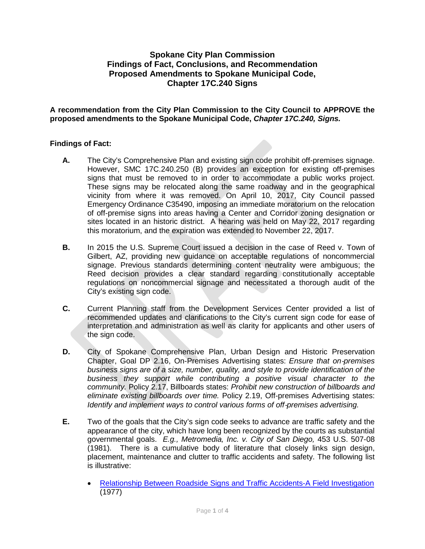# **Spokane City Plan Commission Findings of Fact, Conclusions, and Recommendation Proposed Amendments to Spokane Municipal Code, Chapter 17C.240 Signs**

**A recommendation from the City Plan Commission to the City Council to APPROVE the proposed amendments to the Spokane Municipal Code,** *Chapter 17C.240, Signs.*

## **Findings of Fact:**

- **A.** The City's Comprehensive Plan and existing sign code prohibit off-premises signage. However, SMC 17C.240.250 (B) provides an exception for existing off-premises signs that must be removed to in order to accommodate a public works project. These signs may be relocated along the same roadway and in the geographical vicinity from where it was removed. On April 10, 2017, City Council passed Emergency Ordinance C35490, imposing an immediate moratorium on the relocation of off-premise signs into areas having a Center and Corridor zoning designation or sites located in an historic district. A hearing was held on May 22, 2017 regarding this moratorium, and the expiration was extended to November 22, 2017.
- **B.** In 2015 the U.S. Supreme Court issued a decision in the case of Reed v. Town of Gilbert, AZ, providing new guidance on acceptable regulations of noncommercial signage. Previous standards determining content neutrality were ambiguous; the Reed decision provides a clear standard regarding constitutionally acceptable regulations on noncommercial signage and necessitated a thorough audit of the City's existing sign code.
- **C.** Current Planning staff from the Development Services Center provided a list of recommended updates and clarifications to the City's current sign code for ease of interpretation and administration as well as clarity for applicants and other users of the sign code.
- **D.** City of Spokane Comprehensive Plan, Urban Design and Historic Preservation Chapter, Goal DP 2.16, On-Premises Advertising states: *Ensure that on*‐*premises business signs are of a size, number, quality, and style to provide identification of the business they support while contributing a positive visual character to the community.* Policy 2.17, Billboards states: *Prohibit new construction of billboards and eliminate existing billboards over time.* Policy 2.19, Off-premises Advertising states: *Identify and implement ways to control various forms of off-premises advertising.*
- **E.** Two of the goals that the City's sign code seeks to advance are traffic safety and the appearance of the city, which have long been recognized by the courts as substantial governmental goals. *E.g., Metromedia, Inc. v. City of San Diego,* 453 U.S. 507-08 (1981). There is a cumulative body of literature that closely links sign design, placement, maintenance and clutter to traffic accidents and safety. The following list is illustrative:
	- [Relationship Between Roadside Signs and Traffic Accidents-A Field Investigation](https://www.google.com/url?sa=t&rct=j&q=&esrc=s&source=web&cd=23&cad=rja&uact=8&ved=0ahUKEwi6s_jomMPWAhVC3WMKHcBTBjo4FBAWCDEwAg&url=https%3A%2F%2Flibrary.ctr.utexas.edu%2Fdigitized%2Fcats%2Fcats_rr_54.pdf&usg=AFQjCNGboyXMsyeVhS4TAewRa-BqISMRwg) (1977)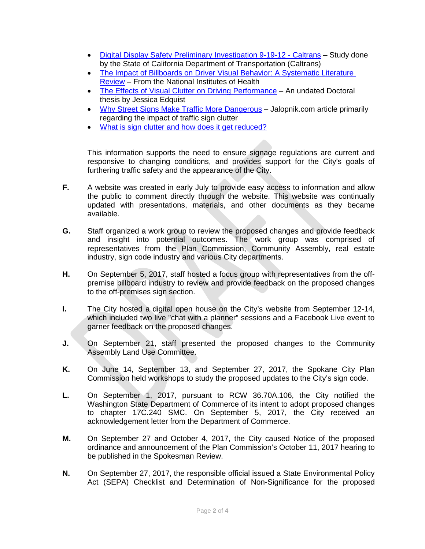- [Digital Display Safety Preliminary Investigation 9-19-12 -](https://www.google.com/url?sa=t&rct=j&q=&esrc=s&source=web&cd=22&cad=rja&uact=8&ved=0ahUKEwi6s_jomMPWAhVC3WMKHcBTBjo4FBAWCCowAQ&url=http%3A%2F%2Fwww.dot.ca.gov%2Fnewtech%2Fresearchreports%2Fpreliminary_investigations%2Fdocs%2Fdigital_display_safety_preliminary_investigation.pdf&usg=AFQjCNF3c2_Hc6RdROb26gcniHERDxxnAQ) Caltrans Study done by the State of California Department of Transportation (Caltrans)
- The Impact of Billboards on Driver Visual Behavior: A Systematic Literature [Review](https://www.google.com/url?sa=t&rct=j&q=&esrc=s&source=web&cd=11&cad=rja&uact=8&ved=0ahUKEwj-r62Dn8PWAhVT0WMKHYr2Cvg4ChAWCCUwAA&url=https%3A%2F%2Fwww.ncbi.nlm.nih.gov%2Fpmc%2Farticles%2FPMC4411179%2F&usg=AFQjCNFg7rNuN0G2zPdlQSnFNJCyw1wsgw) – From the National Institutes of Health
- [The Effects of Visual Clutter on Driving Performance](https://www.google.com/url?sa=t&rct=j&q=&esrc=s&source=web&cd=5&cad=rja&uact=8&ved=0ahUKEwjg3-HOn8PWAhUB5WMKHSE0DTAQFgg_MAQ&url=https%3A%2F%2Fwww.tml.org%2Flegal_pdf%2FBillboard-study-article.pdf&usg=AFQjCNH51DQulhpHhfW33JLg0w5mppWmCg) An undated Doctoral thesis by Jessica Edquist
- [Why Street Signs Make Traffic More Dangerous](https://www.google.com/url?sa=t&rct=j&q=&esrc=s&source=web&cd=2&cad=rja&uact=8&ved=0ahUKEwjg3-HOn8PWAhUB5WMKHSE0DTAQFggsMAE&url=http%3A%2F%2Fjalopnik.com%2F5533260%2Fwhy-street-signs-make-traffic-more-dangerous&usg=AFQjCNGUkDsWhyC34Zl-v_7uzjGJ2z8umw) Jalopnik.com article primarily regarding the impact of traffic sign clutter
- [What is sign clutter and how does it get reduced?](https://www.google.com/url?sa=t&rct=j&q=&esrc=s&source=web&cd=1&cad=rja&uact=8&ved=0ahUKEwjg3-HOn8PWAhUB5WMKHSE0DTAQFggmMAA&url=https%3A%2F%2Fmocktheorytest.com%2Fresources%2Fwhat-is-sign-clutter-and-how-does-it-get-reduced%2F&usg=AFQjCNGLgTWVrkN73jyEoqZ8qOqCBMIR1w)

This information supports the need to ensure signage regulations are current and responsive to changing conditions, and provides support for the City's goals of furthering traffic safety and the appearance of the City.

- **F.** A website was created in early July to provide easy access to information and allow the public to comment directly through the website. This website was continually updated with presentations, materials, and other documents as they became available.
- **G.** Staff organized a work group to review the proposed changes and provide feedback and insight into potential outcomes. The work group was comprised of representatives from the Plan Commission, Community Assembly, real estate industry, sign code industry and various City departments.
- **H.** On September 5, 2017, staff hosted a focus group with representatives from the offpremise billboard industry to review and provide feedback on the proposed changes to the off-premises sign section.
- **I.** The City hosted a digital open house on the City's website from September 12-14, which included two live "chat with a planner" sessions and a Facebook Live event to garner feedback on the proposed changes.
- **J.** On September 21, staff presented the proposed changes to the Community Assembly Land Use Committee.
- **K.** On June 14, September 13, and September 27, 2017, the Spokane City Plan Commission held workshops to study the proposed updates to the City's sign code.
- **L.** On September 1, 2017, pursuant to RCW 36.70A.106, the City notified the Washington State Department of Commerce of its intent to adopt proposed changes to chapter 17C.240 SMC. On September 5, 2017, the City received an acknowledgement letter from the Department of Commerce.
- **M.** On September 27 and October 4, 2017, the City caused Notice of the proposed ordinance and announcement of the Plan Commission's October 11, 2017 hearing to be published in the Spokesman Review.
- **N.** On September 27, 2017, the responsible official issued a State Environmental Policy Act (SEPA) Checklist and Determination of Non-Significance for the proposed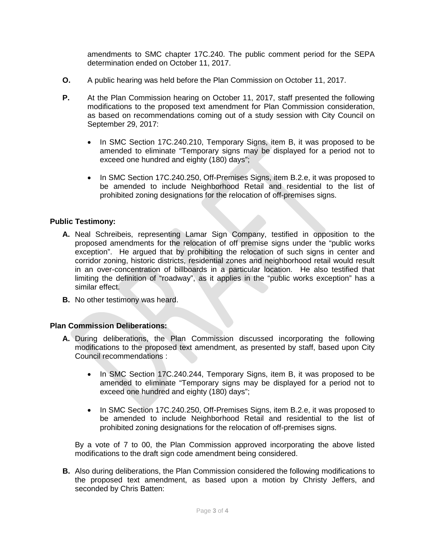amendments to SMC chapter 17C.240. The public comment period for the SEPA determination ended on October 11, 2017.

- **O.** A public hearing was held before the Plan Commission on October 11, 2017.
- **P.** At the Plan Commission hearing on October 11, 2017, staff presented the following modifications to the proposed text amendment for Plan Commission consideration, as based on recommendations coming out of a study session with City Council on September 29, 2017:
	- In SMC Section 17C.240.210, Temporary Signs, item B, it was proposed to be amended to eliminate "Temporary signs may be displayed for a period not to exceed one hundred and eighty (180) days";
	- In SMC Section 17C.240.250, Off-Premises Signs, item B.2.e, it was proposed to be amended to include Neighborhood Retail and residential to the list of prohibited zoning designations for the relocation of off-premises signs.

### **Public Testimony:**

- **A.** Neal Schreibeis, representing Lamar Sign Company, testified in opposition to the proposed amendments for the relocation of off premise signs under the "public works exception". He argued that by prohibiting the relocation of such signs in center and corridor zoning, historic districts, residential zones and neighborhood retail would result in an over-concentration of billboards in a particular location. He also testified that limiting the definition of "roadway", as it applies in the "public works exception" has a similar effect.
- **B.** No other testimony was heard.

### **Plan Commission Deliberations:**

- **A.** During deliberations, the Plan Commission discussed incorporating the following modifications to the proposed text amendment, as presented by staff, based upon City Council recommendations :
	- In SMC Section 17C.240.244, Temporary Signs, item B, it was proposed to be amended to eliminate "Temporary signs may be displayed for a period not to exceed one hundred and eighty (180) days";
	- In SMC Section 17C.240.250, Off-Premises Signs, item B.2.e, it was proposed to be amended to include Neighborhood Retail and residential to the list of prohibited zoning designations for the relocation of off-premises signs.

By a vote of 7 to 00, the Plan Commission approved incorporating the above listed modifications to the draft sign code amendment being considered.

**B.** Also during deliberations, the Plan Commission considered the following modifications to the proposed text amendment, as based upon a motion by Christy Jeffers, and seconded by Chris Batten: